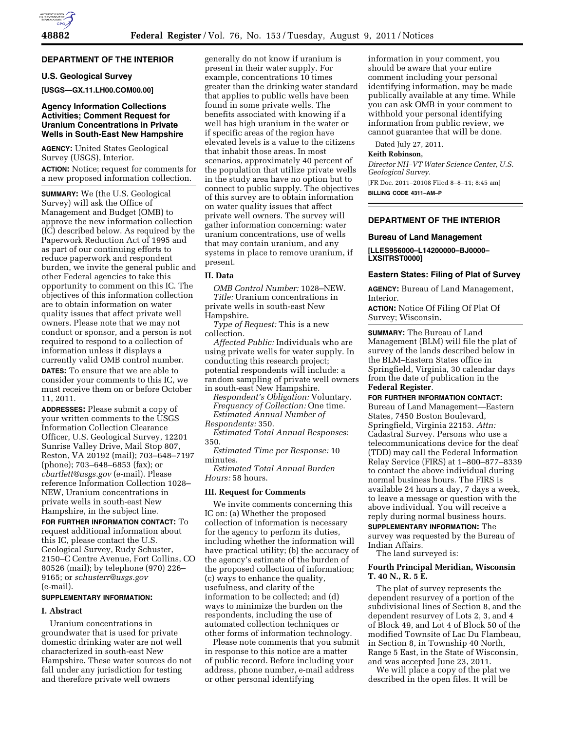## **DEPARTMENT OF THE INTERIOR**

## **U.S. Geological Survey**

**[USGS—GX.11.LH00.COM00.00]** 

## **Agency Information Collections Activities; Comment Request for Uranium Concentrations in Private Wells in South-East New Hampshire**

**AGENCY:** United States Geological Survey (USGS), Interior. **ACTION:** Notice; request for comments for a new proposed information collection.

**SUMMARY:** We (the U.S. Geological Survey) will ask the Office of Management and Budget (OMB) to approve the new information collection (IC) described below. As required by the Paperwork Reduction Act of 1995 and as part of our continuing efforts to reduce paperwork and respondent burden, we invite the general public and other Federal agencies to take this opportunity to comment on this IC. The objectives of this information collection are to obtain information on water quality issues that affect private well owners. Please note that we may not conduct or sponsor, and a person is not required to respond to a collection of information unless it displays a currently valid OMB control number.

**DATES:** To ensure that we are able to consider your comments to this IC, we must receive them on or before October 11, 2011.

**ADDRESSES:** Please submit a copy of your written comments to the USGS Information Collection Clearance Officer, U.S. Geological Survey, 12201 Sunrise Valley Drive, Mail Stop 807, Reston, VA 20192 (mail); 703–648–7197 (phone); 703–648–6853 (fax); or *[cbartlett@usgs.gov](mailto:cbartlett@usgs.gov)* (e-mail). Please reference Information Collection 1028– NEW, Uranium concentrations in private wells in south-east New Hampshire, in the subject line.

**FOR FURTHER INFORMATION CONTACT:** To request additional information about this IC, please contact the U.S. Geological Survey, Rudy Schuster, 2150–C Centre Avenue, Fort Collins, CO 80526 (mail); by telephone (970) 226– 9165; or *[schusterr@usgs.gov](mailto:schusterr@usgs.gov)*  (e-mail).

#### **SUPPLEMENTARY INFORMATION:**

#### **I. Abstract**

Uranium concentrations in groundwater that is used for private domestic drinking water are not well characterized in south-east New Hampshire. These water sources do not fall under any jurisdiction for testing and therefore private well owners

generally do not know if uranium is present in their water supply. For example, concentrations 10 times greater than the drinking water standard that applies to public wells have been found in some private wells. The benefits associated with knowing if a well has high uranium in the water or if specific areas of the region have elevated levels is a value to the citizens that inhabit those areas. In most scenarios, approximately 40 percent of the population that utilize private wells in the study area have no option but to connect to public supply. The objectives of this survey are to obtain information on water quality issues that affect private well owners. The survey will gather information concerning: water uranium concentrations, use of wells that may contain uranium, and any systems in place to remove uranium, if present.

## **II. Data**

*OMB Control Number:* 1028–NEW. *Title:* Uranium concentrations in private wells in south-east New Hampshire.

*Type of Request:* This is a new collection.

*Affected Public:* Individuals who are using private wells for water supply. In conducting this research project; potential respondents will include: a random sampling of private well owners in south-east New Hampshire.

*Respondent's Obligation:* Voluntary. *Frequency of Collection:* One time. *Estimated Annual Number of* 

*Respondents:* 350. *Estimated Total Annual Response*s: 350.

*Estimated Time per Response:* 10 minutes.

*Estimated Total Annual Burden Hours:* 58 hours.

#### **III. Request for Comments**

We invite comments concerning this IC on: (a) Whether the proposed collection of information is necessary for the agency to perform its duties, including whether the information will have practical utility; (b) the accuracy of the agency's estimate of the burden of the proposed collection of information; (c) ways to enhance the quality, usefulness, and clarity of the information to be collected; and (d) ways to minimize the burden on the respondents, including the use of automated collection techniques or other forms of information technology.

Please note comments that you submit in response to this notice are a matter of public record. Before including your address, phone number, e-mail address or other personal identifying

information in your comment, you should be aware that your entire comment including your personal identifying information, may be made publically available at any time. While you can ask OMB in your comment to withhold your personal identifying information from public review, we cannot guarantee that will be done.

Dated July 27, 2011.

## **Keith Robinson,**

*Director NH–VT Water Science Center, U.S. Geological Survey.* 

[FR Doc. 2011–20108 Filed 8–8–11; 8:45 am] **BILLING CODE 4311–AM–P** 

#### **DEPARTMENT OF THE INTERIOR**

#### **Bureau of Land Management**

**[LLES956000–L14200000–BJ0000– LXSITRST0000]** 

#### **Eastern States: Filing of Plat of Survey**

**AGENCY:** Bureau of Land Management, Interior.

**ACTION:** Notice Of Filing Of Plat Of Survey; Wisconsin.

**SUMMARY:** The Bureau of Land Management (BLM) will file the plat of survey of the lands described below in the BLM–Eastern States office in Springfield, Virginia, 30 calendar days from the date of publication in the **Federal Register**.

**FOR FURTHER INFORMATION CONTACT:** 

Bureau of Land Management—Eastern States, 7450 Boston Boulevard, Springfield, Virginia 22153. *Attn:*  Cadastral Survey. Persons who use a telecommunications device for the deaf (TDD) may call the Federal Information Relay Service (FIRS) at 1–800–877–8339 to contact the above individual during normal business hours. The FIRS is available 24 hours a day, 7 days a week, to leave a message or question with the above individual. You will receive a reply during normal business hours.

**SUPPLEMENTARY INFORMATION:** The survey was requested by the Bureau of Indian Affairs.

The land surveyed is:

## **Fourth Principal Meridian, Wisconsin T. 40 N., R. 5 E.**

The plat of survey represents the dependent resurvey of a portion of the subdivisional lines of Section 8, and the dependent resurvey of Lots 2, 3, and 4 of Block 49, and Lot 4 of Block 50 of the modified Townsite of Lac Du Flambeau, in Section 8, in Township 40 North, Range 5 East, in the State of Wisconsin, and was accepted June 23, 2011.

We will place a copy of the plat we described in the open files. It will be